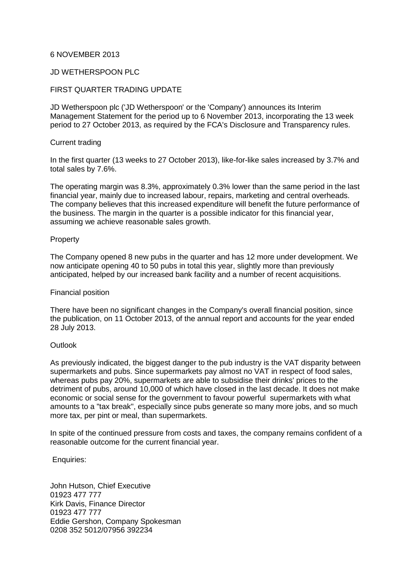## 6 NOVEMBER 2013

# JD WETHERSPOON PLC

# FIRST QUARTER TRADING UPDATE

JD Wetherspoon plc ('JD Wetherspoon' or the 'Company') announces its Interim Management Statement for the period up to 6 November 2013, incorporating the 13 week period to 27 October 2013, as required by the FCA's Disclosure and Transparency rules.

## Current trading

In the first quarter (13 weeks to 27 October 2013), like-for-like sales increased by 3.7% and total sales by 7.6%.

The operating margin was 8.3%, approximately 0.3% lower than the same period in the last financial year, mainly due to increased labour, repairs, marketing and central overheads. The company believes that this increased expenditure will benefit the future performance of the business. The margin in the quarter is a possible indicator for this financial year, assuming we achieve reasonable sales growth.

## Property

The Company opened 8 new pubs in the quarter and has 12 more under development. We now anticipate opening 40 to 50 pubs in total this year, slightly more than previously anticipated, helped by our increased bank facility and a number of recent acquisitions.

#### Financial position

There have been no significant changes in the Company's overall financial position, since the publication, on 11 October 2013, of the annual report and accounts for the year ended 28 July 2013.

#### **Outlook**

As previously indicated, the biggest danger to the pub industry is the VAT disparity between supermarkets and pubs. Since supermarkets pay almost no VAT in respect of food sales, whereas pubs pay 20%, supermarkets are able to subsidise their drinks' prices to the detriment of pubs, around 10,000 of which have closed in the last decade. It does not make economic or social sense for the government to favour powerful supermarkets with what amounts to a "tax break", especially since pubs generate so many more jobs, and so much more tax, per pint or meal, than supermarkets.

In spite of the continued pressure from costs and taxes, the company remains confident of a reasonable outcome for the current financial year.

## Enquiries:

John Hutson, Chief Executive 01923 477 777 Kirk Davis, Finance Director 01923 477 777 Eddie Gershon, Company Spokesman 0208 352 5012/07956 392234